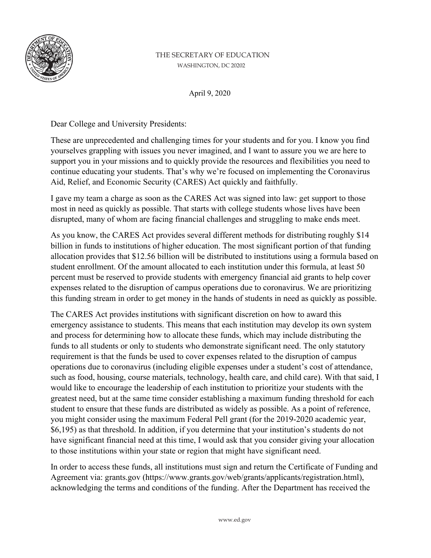

## THE SECRETARY OF EDUCATION WASHINGTON, DC 20202

April 9, 2020

Dear College and University Presidents:

These are unprecedented and challenging times for your students and for you. I know you find yourselves grappling with issues you never imagined, and I want to assure you we are here to support you in your missions and to quickly provide the resources and flexibilities you need to continue educating your students. That's why we're focused on implementing the Coronavirus Aid, Relief, and Economic Security (CARES) Act quickly and faithfully.

I gave my team a charge as soon as the CARES Act was signed into law: get support to those most in need as quickly as possible. That starts with college students whose lives have been disrupted, many of whom are facing financial challenges and struggling to make ends meet.

As you know, the CARES Act provides several different methods for distributing roughly \$14 billion in funds to institutions of higher education. The most significant portion of that funding allocation provides that \$12.56 billion will be distributed to institutions using a formula based on student enrollment. Of the amount allocated to each institution under this formula, at least 50 percent must be reserved to provide students with emergency financial aid grants to help cover expenses related to the disruption of campus operations due to coronavirus. We are prioritizing this funding stream in order to get money in the hands of students in need as quickly as possible.

The CARES Act provides institutions with significant discretion on how to award this emergency assistance to students. This means that each institution may develop its own system and process for determining how to allocate these funds, which may include distributing the funds to all students or only to students who demonstrate significant need. The only statutory requirement is that the funds be used to cover expenses related to the disruption of campus operations due to coronavirus (including eligible expenses under a student's cost of attendance, such as food, housing, course materials, technology, health care, and child care). With that said, I would like to encourage the leadership of each institution to prioritize your students with the greatest need, but at the same time consider establishing a maximum funding threshold for each student to ensure that these funds are distributed as widely as possible. As a point of reference, you might consider using the maximum Federal Pell grant (for the 2019-2020 academic year, \$6,195) as that threshold. In addition, if you determine that your institution's students do not have significant financial need at this time, I would ask that you consider giving your allocation to those institutions within your state or region that might have significant need.

In order to access these funds, all institutions must sign and return the Certificate of Funding and Agreement via: grants.gov (https://www.grants.gov/web/grants/applicants/registration.html), acknowledging the terms and conditions of the funding. After the Department has received the